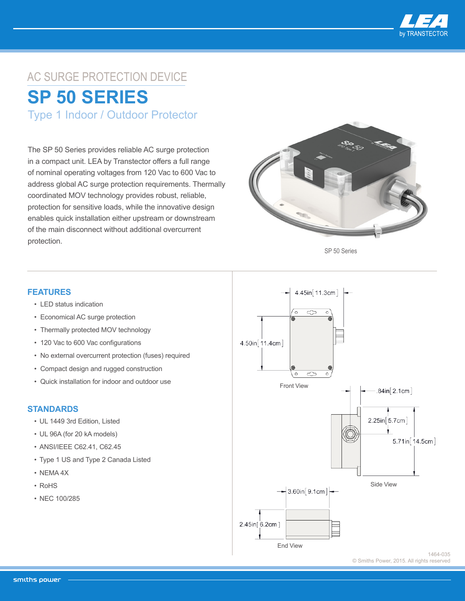

## AC SURGE PROTECTION DEVICE **SP 50 SERIES**

Type 1 Indoor / Outdoor Protector

The SP 50 Series provides reliable AC surge protection in a compact unit. LEA by Transtector offers a full range of nominal operating voltages from 120 Vac to 600 Vac to address global AC surge protection requirements. Thermally coordinated MOV technology provides robust, reliable, protection for sensitive loads, while the innovative design enables quick installation either upstream or downstream of the main disconnect without additional overcurrent protection.



SP 50 Series

## **FEATURES**

- LED status indication
- Economical AC surge protection
- Thermally protected MOV technology
- 120 Vac to 600 Vac configurations
- No external overcurrent protection (fuses) required
- Compact design and rugged construction
- Quick installation for indoor and outdoor use

## **STANDARDS**

- UL 1449 3rd Edition, Listed
- UL 96A (for 20 kA models)
- ANSI/IEEE C62.41, C62.45
- Type 1 US and Type 2 Canada Listed
- NEMA 4X
- RoHS
- NEC 100/285



© Smiths Power, 2015. All rights reserved